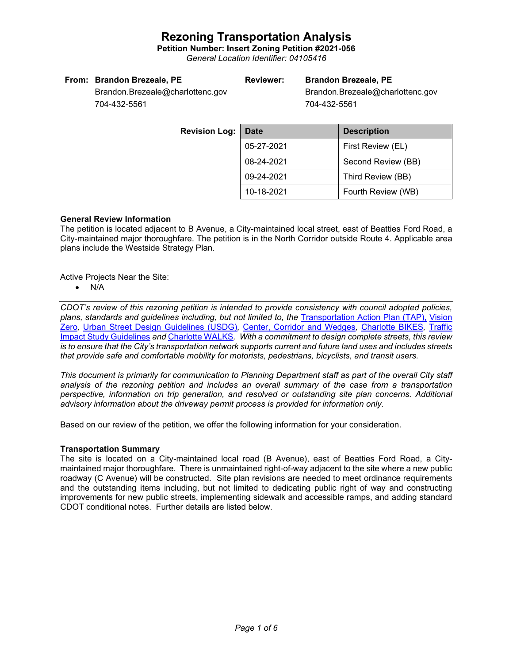**Petition Number: Insert Zoning Petition #2021-056**

*General Location Identifier: 04105416*

#### **From: Brandon Brezeale, PE**

#### **Reviewer: Brandon Brezeale, PE**

Brandon.Brezeale@charlottenc.gov 704-432-5561

Brandon.Brezeale@charlottenc.gov 704-432-5561

**Revision Loc** 

| g. | Date       | <b>Description</b> |  |
|----|------------|--------------------|--|
|    | 05-27-2021 | First Review (EL)  |  |
|    | 08-24-2021 | Second Review (BB) |  |
|    | 09-24-2021 | Third Review (BB)  |  |
|    | 10-18-2021 | Fourth Review (WB) |  |

#### **General Review Information**

The petition is located adjacent to B Avenue, a City-maintained local street, east of Beatties Ford Road, a City-maintained major thoroughfare. The petition is in the North Corridor outside Route 4. Applicable area plans include the Westside Strategy Plan.

Active Projects Near the Site:

• N/A

*CDOT's review of this rezoning petition is intended to provide consistency with council adopted policies, plans, standards and guidelines including, but not limited to, the* [Transportation Action Plan \(TAP\),](https://charlottenc.gov/Transportation/Programs/Pages/TransportationActionPlan.aspx) [Vision](https://charlottenc.gov/VisionZero/Pages/VisionZero.aspx)  [Zero](https://charlottenc.gov/VisionZero/Pages/VisionZero.aspx)*,* [Urban Street Design Guidelines \(USDG\)](https://charlottenc.gov/Transportation/PlansProjects/Documents/USDG%20Full%20Document.pdf)*,* [Center, Corridor and Wedges](http://ww.charmeck.org/Planning/Land%20Use%20Planning/CentersCorridorsWedges/CentersCorridorsWedges(Adopted).pdf)*,* [Charlotte BIKES](https://charlottenc.gov/Transportation/Programs/Pages/Bicycle.aspx)*,* [Traffic](https://charlottenc.gov/Transportation/Permits/Documents/TISProcessandGuildlines.pdf)  [Impact Study Guidelines](https://charlottenc.gov/Transportation/Permits/Documents/TISProcessandGuildlines.pdf) *and* [Charlotte WALKS](https://charlottenc.gov/Transportation/Programs/Pages/CharlotteWalks.aspx)*. With a commitment to design complete streets, this review is to ensure that the City's transportation network supports current and future land uses and includes streets that provide safe and comfortable mobility for motorists, pedestrians, bicyclists, and transit users.*

*This document is primarily for communication to Planning Department staff as part of the overall City staff analysis of the rezoning petition and includes an overall summary of the case from a transportation perspective, information on trip generation, and resolved or outstanding site plan concerns. Additional advisory information about the driveway permit process is provided for information only.*

Based on our review of the petition, we offer the following information for your consideration.

#### **Transportation Summary**

The site is located on a City-maintained local road (B Avenue), east of Beatties Ford Road, a Citymaintained major thoroughfare. There is unmaintained right-of-way adjacent to the site where a new public roadway (C Avenue) will be constructed. Site plan revisions are needed to meet ordinance requirements and the outstanding items including, but not limited to dedicating public right of way and constructing improvements for new public streets, implementing sidewalk and accessible ramps, and adding standard CDOT conditional notes. Further details are listed below.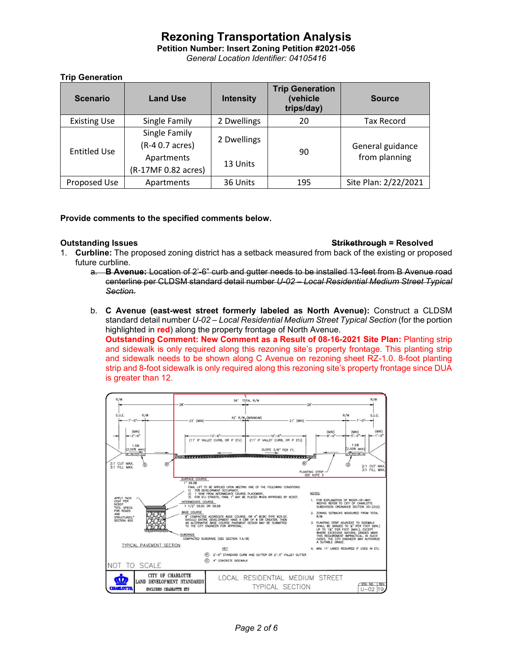**Petition Number: Insert Zoning Petition #2021-056** *General Location Identifier: 04105416*

**Trip Generation**

| <b>Scenario</b>     | <b>Land Use</b>                  | <b>Intensity</b> | <b>Trip Generation</b><br>(vehicle<br>trips/day) | <b>Source</b>                     |
|---------------------|----------------------------------|------------------|--------------------------------------------------|-----------------------------------|
| <b>Existing Use</b> | Single Family                    | 2 Dwellings      | 20                                               | Tax Record                        |
| <b>Entitled Use</b> | Single Family<br>(R-4 0.7 acres) | 2 Dwellings      | 90                                               | General guidance<br>from planning |
|                     | Apartments                       | 13 Units         |                                                  |                                   |
|                     | (R-17MF 0.82 acres)              |                  |                                                  |                                   |
| Proposed Use        | Apartments                       | 36 Units         | 195                                              | Site Plan: 2/22/2021              |

#### **Provide comments to the specified comments below.**

#### **Outstanding Issues Strikethrough = Resolved**

- 1. **Curbline:** The proposed zoning district has a setback measured from back of the existing or proposed future curbline.
	- a. **B Avenue:** Location of 2'-6" curb and gutter needs to be installed 13-feet from B Avenue road centerline per CLDSM standard detail number *U-02 – Local Residential Medium Street Typical Section.*
	- b. **C Avenue (east-west street formerly labeled as North Avenue):** Construct a CLDSM standard detail number *U-02 – Local Residential Medium Street Typical Section* (for the portion highlighted in **red**) along the property frontage of North Avenue.

**Outstanding Comment: New Comment as a Result of 08-16-2021 Site Plan:** Planting strip and sidewalk is only required along this rezoning site's property frontage. This planting strip and sidewalk needs to be shown along C Avenue on rezoning sheet RZ-1.0. 8-foot planting strip and 8-foot sidewalk is only required along this rezoning site's property frontage since DUA is greater than 12.

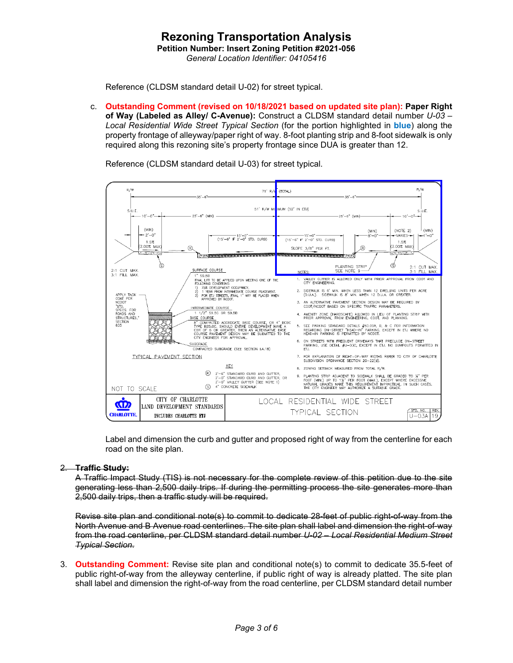### **Rezoning Transportation Analysis Petition Number: Insert Zoning Petition #2021-056** *General Location Identifier: 04105416*

Reference (CLDSM standard detail U-02) for street typical.

c. **Outstanding Comment (revised on 10/18/2021 based on updated site plan): Paper Right of Way (Labeled as Alley/ C-Avenue):** Construct a CLDSM standard detail number *U-03 – Local Residential Wide Street Typical Section* (for the portion highlighted in **blue**) along the property frontage of alleyway/paper right of way. 8-foot planting strip and 8-foot sidewalk is only required along this rezoning site's property frontage since DUA is greater than 12.

Reference (CLDSM standard detail U-03) for street typical.



Label and dimension the curb and gutter and proposed right of way from the centerline for each road on the site plan.

#### 2. **Traffic Study:**

A Traffic Impact Study (TIS) is not necessary for the complete review of this petition due to the site generating less than 2,500 daily trips. If during the permitting process the site generates more than 2,500 daily trips, then a traffic study will be required.

Revise site plan and conditional note(s) to commit to dedicate 28-feet of public right-of-way from the North Avenue and B Avenue road centerlines. The site plan shall label and dimension the right-of-way from the road centerline, per CLDSM standard detail number *U-02 – Local Residential Medium Street Typical Section*.

3. **Outstanding Comment:** Revise site plan and conditional note(s) to commit to dedicate 35.5-feet of public right-of-way from the alleyway centerline, if public right of way is already platted. The site plan shall label and dimension the right-of-way from the road centerline, per CLDSM standard detail number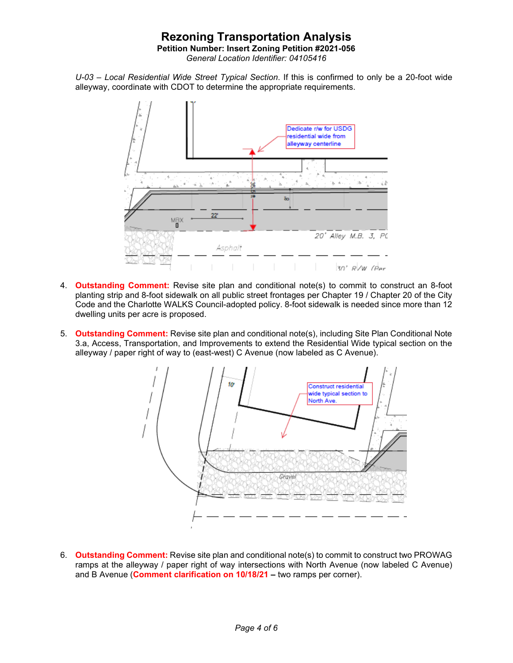**Petition Number: Insert Zoning Petition #2021-056**

*General Location Identifier: 04105416*

*U-03 – Local Residential Wide Street Typical Section*. If this is confirmed to only be a 20-foot wide alleyway, coordinate with CDOT to determine the appropriate requirements.



- 4. **Outstanding Comment:** Revise site plan and conditional note(s) to commit to construct an 8-foot planting strip and 8-foot sidewalk on all public street frontages per Chapter 19 / Chapter 20 of the City Code and the Charlotte WALKS Council-adopted policy. 8-foot sidewalk is needed since more than 12 dwelling units per acre is proposed.
- 5. **Outstanding Comment:** Revise site plan and conditional note(s), including Site Plan Conditional Note 3.a, Access, Transportation, and Improvements to extend the Residential Wide typical section on the alleyway / paper right of way to (east-west) C Avenue (now labeled as C Avenue).



6. **Outstanding Comment:** Revise site plan and conditional note(s) to commit to construct two PROWAG ramps at the alleyway / paper right of way intersections with North Avenue (now labeled C Avenue) and B Avenue (**Comment clarification on 10/18/21 –** two ramps per corner).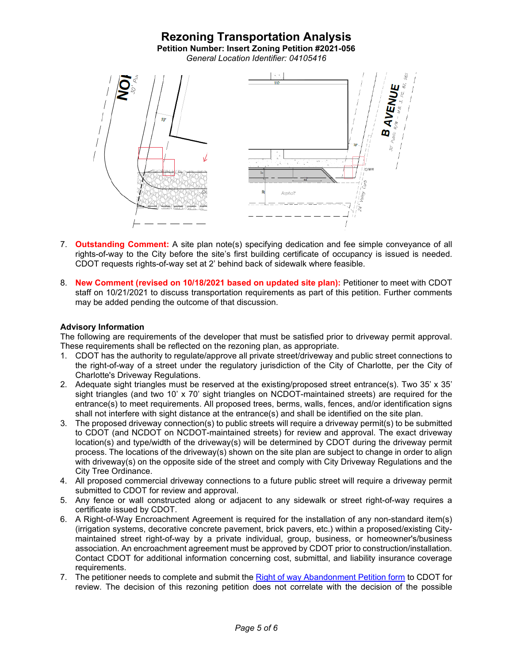# **Rezoning Transportation Analysis Petition Number: Insert Zoning Petition #2021-056** *General Location Identifier: 04105416* **IVENUE**  $10$ Asphalt

- 7. **Outstanding Comment:** A site plan note(s) specifying dedication and fee simple conveyance of all rights-of-way to the City before the site's first building certificate of occupancy is issued is needed. CDOT requests rights-of-way set at 2' behind back of sidewalk where feasible.
- 8. **New Comment (revised on 10/18/2021 based on updated site plan):** Petitioner to meet with CDOT staff on 10/21/2021 to discuss transportation requirements as part of this petition. Further comments may be added pending the outcome of that discussion.

#### **Advisory Information**

The following are requirements of the developer that must be satisfied prior to driveway permit approval. These requirements shall be reflected on the rezoning plan, as appropriate.

- 1. CDOT has the authority to regulate/approve all private street/driveway and public street connections to the right-of-way of a street under the regulatory jurisdiction of the City of Charlotte, per the City of Charlotte's Driveway Regulations.
- 2. Adequate sight triangles must be reserved at the existing/proposed street entrance(s). Two 35' x 35' sight triangles (and two 10' x 70' sight triangles on NCDOT-maintained streets) are required for the entrance(s) to meet requirements. All proposed trees, berms, walls, fences, and/or identification signs shall not interfere with sight distance at the entrance(s) and shall be identified on the site plan.
- 3. The proposed driveway connection(s) to public streets will require a driveway permit(s) to be submitted to CDOT (and NCDOT on NCDOT-maintained streets) for review and approval. The exact driveway location(s) and type/width of the driveway(s) will be determined by CDOT during the driveway permit process. The locations of the driveway(s) shown on the site plan are subject to change in order to align with driveway(s) on the opposite side of the street and comply with City Driveway Regulations and the City Tree Ordinance.
- 4. All proposed commercial driveway connections to a future public street will require a driveway permit submitted to CDOT for review and approval.
- 5. Any fence or wall constructed along or adjacent to any sidewalk or street right-of-way requires a certificate issued by CDOT.
- 6. A Right-of-Way Encroachment Agreement is required for the installation of any non-standard item(s) (irrigation systems, decorative concrete pavement, brick pavers, etc.) within a proposed/existing Citymaintained street right-of-way by a private individual, group, business, or homeowner's/business association. An encroachment agreement must be approved by CDOT prior to construction/installation. Contact CDOT for additional information concerning cost, submittal, and liability insurance coverage requirements.
- 7. The petitioner needs to complete and submit the [Right of way Abandonment Petition form](https://charlottenc.gov/Transportation/Permits/Pages/RightofWayAbandonment.aspx) to CDOT for review. The decision of this rezoning petition does not correlate with the decision of the possible